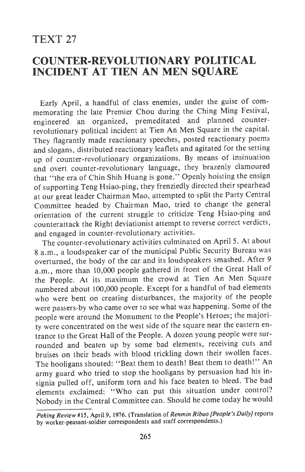## TEXT 27

## COUNTER.REVOLUTIONARY POLITICAL INCIDENT AT TIEN AN MEN SQUARE

Early April, a handful of class enemies, under the guise of commemorating the late Premier chou during the ching Ming Festival, engineered an organized, premeditated and planned counterrevolutionary political incident at Tien An Men Square in the capital. They flagrantly made reactionary speeches, posted reactionary poems and slogans, distributed reactionary leaflets and agitated for the setting up of counter-revolutionary organizations. By means of insinuation and overt counter-revolutionary language, they brazenly clamoured that "the era of Chin Shih Huang is gone." Openly hoisting the ensign of supporting Teng Hsiao-ping, they frenziedly directed their spearhead at our great leader Chairman Mao, attempted to split the Party Central Committee headed by Chairman Mao, tried to change the general orientation of the current struggle to criticize Teng Hsiao-ping and counterattack the Right deviationist attempt to reverse correct verdicts, and engaged in counter-revolutionary activities.

The counter-revolutionary activities culminated on April 5. At about <sup>8</sup>a.m., a loudspeaker car of the municipal Public Security Bureau was overturned, the body of the car and its loudspeakers smashed. After <sup>9</sup> a.m., more than 10,000 people gathered in front of the Great Hall of the People. At its maximum the crowd at Tien An Men Square numbered about 100,000 people. Except for a handful of bad elements who were bent on creating disturbances, the majority of the people were passers-by who came over to see what was happening. Some of the people were around the Monument to the People's Heroes; the majority were concentrated on the west side of the square near the eastern entrance to the Great Hall of the People. A dozen young people were surrounded and beaten up by some bad elements, receiving cuts and bruises on their heads with blood trickling down their swollen faces. The hooiigans shouted: "Beat them to death! Beat them to death!" An army guard who tried to stop the hooligans by persuasion had his insignia pulled off, uniform torn and his face beaten to bleed. The bad elements exclaimed: "Who can put this situation under control? Nobody in the Central Committee can. Should he come today he would

Peking Review #15, April 9, 1976. (Translation of Renmin Ribao [People's Daily] reports by worker-peasant-soldier correspondents and staff correspondents.)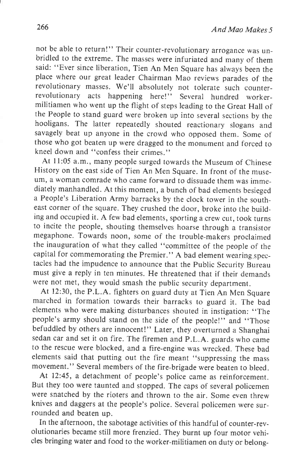not be able to return!" Their counter-revolutionary arrogance was unbridled to the extreme. The masses were infuriated and many of them said: "Ever since liberation, Tien An Men Square has always been the place where our great leader chairman Mao reviews parades of the revolutionary masses. we'll absolutely not tolerate such counterrevolutionary acts happening here!" Several hundred workermilitiamen who went up the flight of steps leading to the Great Hall of the People to stand guard were broken up into several sections by the hooligans. The latter repeatedly shouted reactionary slogans and savagely beat up anyone in the crowd who opposed them. Some of those who got beaten up were dragged to the monument and forced to kneel down and "confess their crimes."

At 11:05 a.m., many people surged towards the Museum of Chinese History on the east side of Tien An Men Square. In front of the museum, a woman comrade who came forward to dissuade them was imme\_ diately manhandled. At this moment, a bunch of bad elements besieged a People's Liberation Army barracks by the clock tower in the southeast corner of the square. They crushed the door, broke into the building and occupied it. A few bad elements, sporting a crew cut, took turns to incite the people, shouting themselves hoarse through a transistor megaphone. Towards noon, some of the trouble-makers proclaimed the inauguration of what they called "committee of the people of the capital for commemorating the Premier." A bad element wearing, spectacles had the impudence to announce that the public Security Bureau must give a reply in ten minutes. He threatened that if their demands were not met, they would smash the public security department.

At 12:30, the P.L.A. fighters on guard duty at Tien An Men Square marched in formation towards their barracks to guard it. The bad elements who were making disturbances shouted in instigation: "The people's army should stand on the side of the people!" and "Those befuddled by others are innocent!" Later, they overturned a Shanghai sedan car and set it on fire. The firemen and p.L.A. guards who came to the rescue were blocked, and a fire-engine was wrecked. These bad elements said that putting out the fire meant "suppressing the mass movement." Several members of the fire-brigade were beaten to bleed.

At 12:45, a detachment of people's police came as reinforcement. But they too were taunted and stopped. The caps of several policemen were snatched by the rioters and thrown to the air, Some even threw knives and daggers at the people's police. Several policemen were surrounded and beaten up.

In the afternoon, the sabotage activities of this handful of counter-revolutionaries became still more frenzied. They burnt up four motor vehicles bringing water and food to the worker-militiamen on duty or belong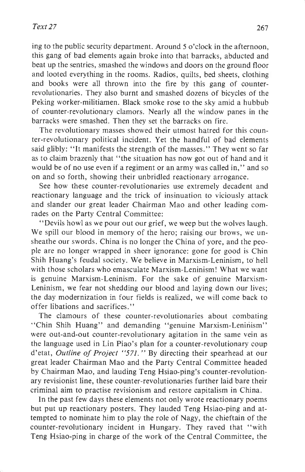ing to the public security department. Around 5 o'clock in the afternoon, this gang of bad elements again broke into that barracks, abducted and beat up the sentries, smashed the windows and doors on the ground floor and looted everything in the rooms. Radios, quilts, bed sheets, clothing and books were all thrown into the fire by this gang of counterrevolutionaries. They also burnt and smashed dozens of bicycles of the Peking worker-militiamen. Black smoke rose to the sky amid a hubbub of counter-revolutionary clamors. Nearly all the window panes in the barracks were smashed. Then they set the barracks on fire.

The revolutionary masses showed their utmost hatred for this counter-revolutionary political incident. Yet the handful of bad elements said glibly: "lt manifests the strength of the masses." They went so far as to claim brazenly that "the situation has now got out of hand and it would be of no use even if a regiment or an army was called in," and so on and so forth, showing their unbridled reactionary arrogance.

See how these counter-revolutionaries use extremely decadent and reactionary language and the trick of insinuation to viciously attack and slander our great leader Chairman Mao and other leading comrades on the Party Central Committee:

"Devils howl as we pour out our grief, we weep but the wolves laugh. We spill our blood in memory of the hero; raising our brows, we unsheathe our swords. China is no longer the China of yore, and the people are no longer wrapped in sheer ignorance: gone for good is Chin Shih Huang's feudal society. We believe in Marxism-Leninism, to'hell with those scholars who emasculate Marxism-Leninism! What we want is genuine Marxism-Leninism. For the sake of genuine Marxism-Leninism, we fear not shedding our blood and laying down our lives; the day modernization in four fields is realized, we will come back to offer libations and sacrifices."

The clamours of these counter-revolutionaries about combating "Chin Shih Huang" and demanding "genuine Marxism-Leninism" were out-and-out counter-revolutionary agitation in the same vein as the language used in Lin Piao's plan for a counter-revolutionary coup d'etat, Outline of Project "571." By directing their spearhead at our great leader Chairman Mao and the Party Central Committee headed by Chairman Mao, and lauding Teng Hsiao-ping's counter-revolutionary revisionist line, these counter-revolutionaries further laid bare their criminal aim to practise revisionism and restore capitalism in China.

In the past few days these elements not only wrote reactionary poems but put up reactionary posters. They lauded Teng Hsiao-ping and attempted to nominate him to play the role of Nagy, the chieftain of the counter-revolutionary incident in Hungary. They raved that "with Teng Hsiao-ping in charge of the work of the Central Committee, the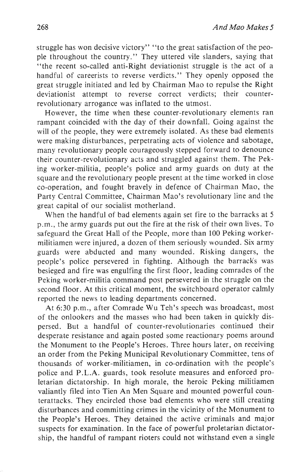struggle has won decisive victory" "to the great satisfaction of the people throughout the country." They uttered vile slanders, saying that "the recent so-called anti-Right deviationist struggle is the act of <sup>a</sup> handful of careerists to reverse verdicts." They openly opposed the great struggle initiated and led by Chairman Mao to repulse the Right deviationist attempt to reverse correct verdicts; their counterrevolutionary arrogance was inflated to the utmost.

However, the time when these counter-revolutionary elements ran rampant coincided with the day of their downfall. Going against the will of the people, they were extremely isolated. As these bad elements were making disturbances, perpetrating acts of violence and sabotage, many revolutionary people courageously stepped forward to denounce their counter-revolutionary acts and struggled against them. The Peking worker-militia, people's police and army guards on duty at the square and the revolutionary people present at the time worked in close co-operation, and fought bravely in defence of Chairman Mao, the Party Central Committee, Chairman Mao's revolutionary line and the great capital of our socialist motherland.

When the handful of bad elements again set fire to the barracks at <sup>5</sup> p.m., the army guards put out the fire at the risk of their own lives. To safeguard the Great Hall of the People, more than 100 Peking workermilitiamen were injured, a dozen of them seriously wounded. Six army guards were abducted and many wounded. Risking dangers, the people's police persevered in fighting. Although the barracks was besieged and fire was engulfing the first floor, leading comrades of the Peking worker-militia command post persevered in the struggle on the second floor. At this critical moment, the switchboard operator calmly reported the news to leading departments concerned.

At 6:30 p.m., after Comrade Wu Teh's speech was broadcast, most of the onlookers and the masses who had been taken in quickly dispersed. But a handful of counter-revolutionaries continued their desperate resistance and again posted some reactionary poems around the Monument to the People's Heroes. Three hours later, on receiving an order from the Peking Municipal Revolutionary Committee, tens of thousands of worker-militiamen, in co-ordination with the people's police and P.L.A, guards, took resolute measures and enforced proletarian dictatorship. In high morale, the heroic Peking militiamen valiantly filed into Tien An Men Square and mounted powerful counterattacks. They encircled those bad elements who were still creating disturbances and committing crimes in the vicinity of the Monument to the People's Heroes. They detained the active criminals and major suspects for examination. In the face of powerful proletarian dictatorship, the handful of rampant rioters could not withstand even a single